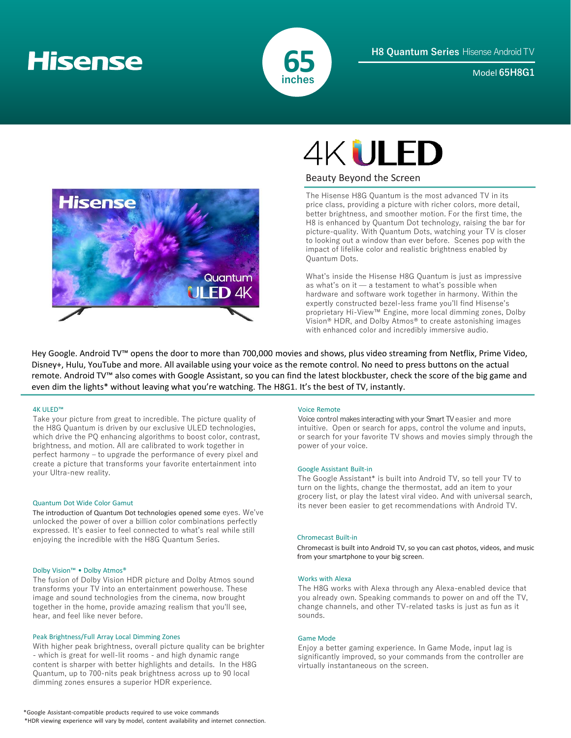# **Hisense**



Model **65H8G1**



# **4KULED**

## Beauty Beyond the Screen

The Hisense H8G Quantum is the most advanced TV in its price class, providing a picture with richer colors, more detail, better brightness, and smoother motion. For the first time, the H8 is enhanced by Quantum Dot technology, raising the bar for picture-quality. With Quantum Dots, watching your TV is closer to looking out a window than ever before. Scenes pop with the impact of lifelike color and realistic brightness enabled by Quantum Dots.

What's inside the Hisense H8G Quantum is just as impressive as what's on it — a testament to what's possible when hardware and software work together in harmony. Within the expertly constructed bezel-less frame you'll find Hisense's proprietary Hi-View™ Engine, more local dimming zones, Dolby Vision® HDR, and Dolby Atmos® to create astonishing images with enhanced color and incredibly immersive audio.

Hey Google. Android TV™ opens the door to more than 700,000 movies and shows, plus video streaming from Netflix, Prime Video, Disney+, Hulu, YouTube and more. All available using your voice as the remote control. No need to press buttons on the actual remote. Android TV™ also comes with Google Assistant, so you can find the latest blockbuster, check the score of the big game and even dim the lights\* without leaving what you're watching. The H8G1. It's the best of TV, instantly.

## 4K ULED™

Take your picture from great to incredible. The picture quality of the H8G Quantum is driven by our exclusive ULED technologies, which drive the PQ enhancing algorithms to boost color, contrast, brightness, and motion. All are calibrated to work together in perfect harmony – to upgrade the performance of every pixel and create a picture that transforms your favorite entertainment into your Ultra-new reality. Google Assistant Built-in

## Quantum Dot Wide Color Gamut

The introduction of Quantum Dot technologies opened some eyes. We've unlocked the power of over a billion color combinations perfectly expressed. It's easier to feel connected to what's real while still enjoying the incredible with the H8G Quantum Series.

## Dolby Vision™ • Dolby Atmos®

The fusion of Dolby Vision HDR picture and Dolby Atmos sound transforms your TV into an entertainment powerhouse. These image and sound technologies from the cinema, now brought together in the home, provide amazing realism that you'll see, hear, and feel like never before.

## Peak Brightness/Full Array Local Dimming Zones

With higher peak brightness, overall picture quality can be brighter - which is great for well-lit rooms - and high dynamic range content is sharper with better highlights and details. In the H8G Quantum, up to 700-nits peak brightness across up to 90 local dimming zones ensures a superior HDR experience.

### Voice Remote

Voice control makes interacting with your Smart TV easier and more intuitive. Open or search for apps, control the volume and inputs, or search for your favorite TV shows and movies simply through the power of your voice.

The Google Assistant\* is built into Android TV, so tell your TV to turn on the lights, change the thermostat, add an item to your grocery list, or play the latest viral video. And with universal search, its never been easier to get recommendations with Android TV.

## Chromecast Built-in

Chromecast is built into Android TV, so you can cast photos, videos, and music from your smartphone to your big screen.

## Works with Alexa

The H8G works with Alexa through any Alexa-enabled device that you already own. Speaking commands to power on and off the TV, change channels, and other TV-related tasks is just as fun as it sounds.

## Game Mode

Enjoy a better gaming experience. In Game Mode, input lag is significantly improved, so your commands from the controller are virtually instantaneous on the screen.